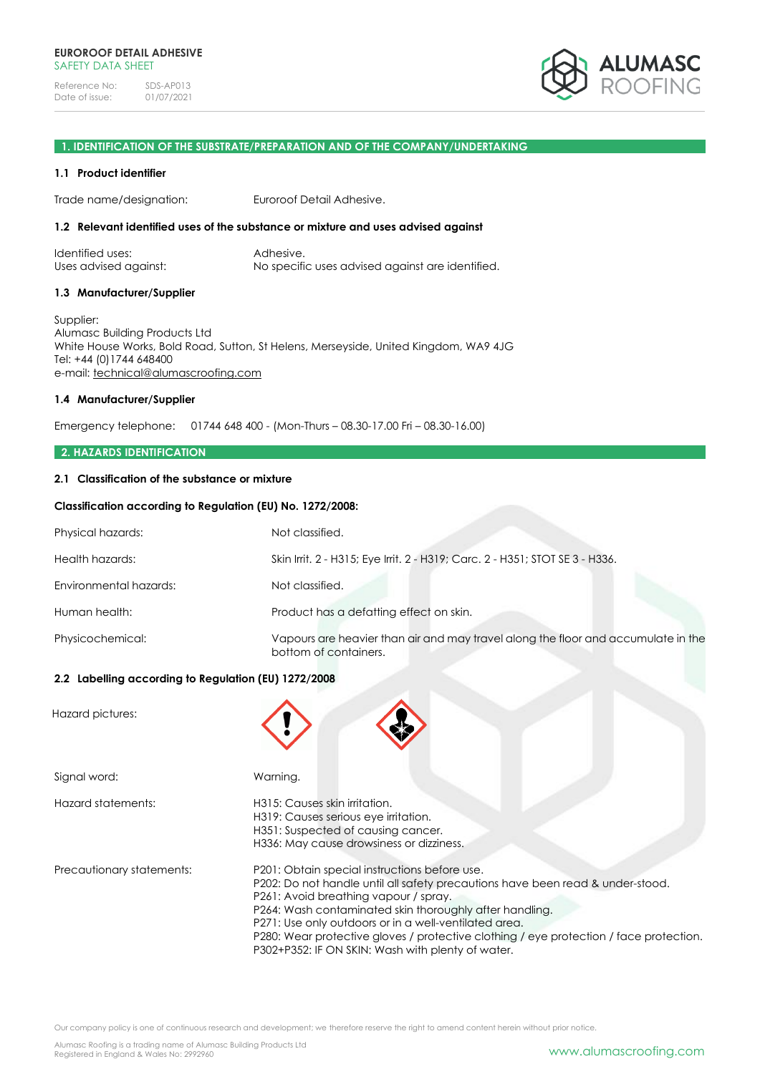

# **1. IDENTIFICATION OF THE SUBSTRATE/PREPARATION AND OF THE COMPANY/UNDERTAKING**

### **1.1 Product identifier**

Trade name/designation: Euroroof Detail Adhesive.

### **1.2 Relevant identified uses of the substance or mixture and uses advised against**

| Identified uses:      | Adhesive.                                        |
|-----------------------|--------------------------------------------------|
| Uses advised against: | No specific uses advised against are identified. |

### **1.3 Manufacturer/Supplier**

Supplier: Alumasc Building Products Ltd White House Works, Bold Road, Sutton, St Helens, Merseyside, United Kingdom, WA9 4JG Tel: +44 (0)1744 648400 e-mail: [technical@alumascroofing.com](mailto:technical@alumascroofing.com)

### **1.4 Manufacturer/Supplier**

Emergency telephone: 01744 648 400 - (Mon-Thurs – 08.30-17.00 Fri – 08.30-16.00)

### **2. HAZARDS IDENTIFICATION**

### **2.1 Classification of the substance or mixture**

### **Classification according to Regulation (EU) No. 1272/2008:**

| Physical hazards:      | Not classified.                                                                                            |
|------------------------|------------------------------------------------------------------------------------------------------------|
| Health hazards:        | Skin Irrit. 2 - H315; Eye Irrit. 2 - H319; Carc. 2 - H351; STOT SE 3 - H336.                               |
| Environmental hazards: | Not classified.                                                                                            |
| Human health:          | Product has a defatting effect on skin.                                                                    |
| Physicochemical:       | Vapours are heavier than air and may travel along the floor and accumulate in the<br>bottom of containers. |

# **2.2 Labelling according to Regulation (EU) 1272/2008**

Hazard pictures:

| Signal word:              | Warning.                                                                                                                                                                                                                                                                                                                                                                                                                                    |
|---------------------------|---------------------------------------------------------------------------------------------------------------------------------------------------------------------------------------------------------------------------------------------------------------------------------------------------------------------------------------------------------------------------------------------------------------------------------------------|
| Hazard statements:        | H315: Causes skin irritation.<br>H319: Causes serious eye irritation.<br>H351: Suspected of causing cancer.<br>H336: May cause drowsiness or dizziness.                                                                                                                                                                                                                                                                                     |
| Precautionary statements: | P201: Obtain special instructions before use.<br>P202: Do not handle until all safety precautions have been read & under-stood.<br>P261: Avoid breathing vapour / spray.<br>P264: Wash contaminated skin thoroughly after handling.<br>P271: Use only outdoors or in a well-ventilated area.<br>P280: Wear protective gloves / protective clothing / eye protection / face protection.<br>P302+P352: IF ON SKIN: Wash with plenty of water. |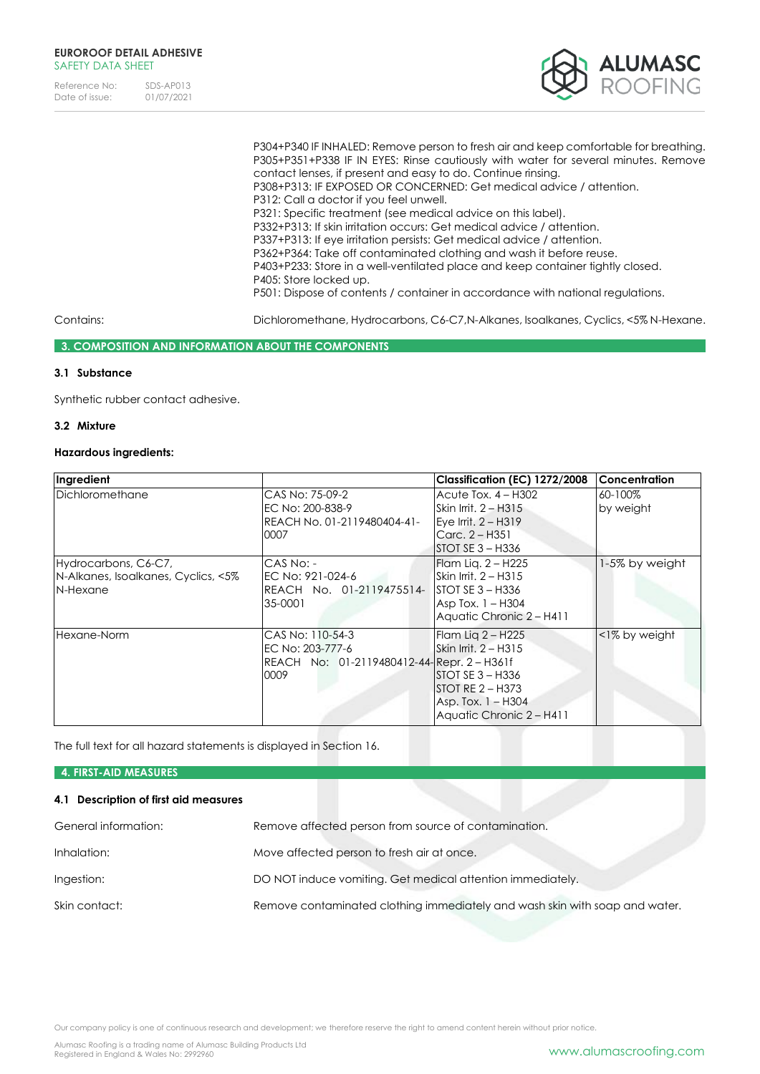

P304+P340 IF INHALED: Remove person to fresh air and keep comfortable for breathing. P305+P351+P338 IF IN EYES: Rinse cautiously with water for several minutes. Remove contact lenses, if present and easy to do. Continue rinsing. P308+P313: IF EXPOSED OR CONCERNED: Get medical advice / attention. P312: Call a doctor if you feel unwell. P321: Specific treatment (see medical advice on this label). P332+P313: If skin irritation occurs: Get medical advice / attention. P337+P313: If eye irritation persists: Get medical advice / attention. P362+P364: Take off contaminated clothing and wash it before reuse. P403+P233: Store in a well-ventilated place and keep container tightly closed. P405: Store locked up. P501: Dispose of contents / container in accordance with national regulations.

Contains: Dichloromethane, Hydrocarbons, C6-C7,N-Alkanes, Isoalkanes, Cyclics, <5% N-Hexane.

### **3. COMPOSITION AND INFORMATION ABOUT THE COMPONENTS**

# **3.1 Substance**

Synthetic rubber contact adhesive.

# **3.2 Mixture**

# **Hazardous ingredients:**

| Ingredient                                                              |                                                                                            | Classification (EC) 1272/2008                                                                                                                | <b>Concentration</b> |
|-------------------------------------------------------------------------|--------------------------------------------------------------------------------------------|----------------------------------------------------------------------------------------------------------------------------------------------|----------------------|
| Dichloromethane                                                         | CAS No: 75-09-2<br>EC No: 200-838-9<br>REACH No. 01-2119480404-41-<br>0007                 | Acute Tox. 4 - H302<br>Skin Irrit. 2 – H315<br>$Eve$ Irrit. $2 - H319$<br>Carc. $2 - H351$<br>ISTOT SE 3 – H336                              | 60-100%<br>by weight |
| Hydrocarbons, C6-C7,<br>N-Alkanes, Isoalkanes, Cyclics, <5%<br>N-Hexane | CAS No: -<br>EC No: 921-024-6<br>REACH No. 01-2119475514-<br>35-0001                       | Flam Lig. 2 – H225<br>$\overline{\text{Skin}}$ Irrit. 2 – H315<br>$ISTOTSE 3 - H336$<br>Asp Tox. $1 - H304$<br>Aquatic Chronic 2 - H411      | 1-5% by weight       |
| Hexane-Norm                                                             | CAS No: 110-54-3<br>EC No: 203-777-6<br>REACH No: 01-2119480412-44-Repr. 2 - H361f<br>0009 | Flam Lig 2 – H225<br>lSkin Irrit. 2 – H315<br>$ISTOT SE 3 - H336$<br>$ISTOT RE 2 - H373$<br>Asp. Tox. $1 - H304$<br>Aquatic Chronic 2 - H411 | <1% by weight        |

The full text for all hazard statements is displayed in Section 16.

### **4. FIRST-AID MEASURES**

### **4.1 Description of first aid measures**

| General information: | Remove affected person from source of contamination.                        |
|----------------------|-----------------------------------------------------------------------------|
| Inhalation:          | Move affected person to fresh air at once.                                  |
| Ingestion:           | DO NOT induce vomiting. Get medical attention immediately.                  |
| Skin contact:        | Remove contaminated clothing immediately and wash skin with soap and water. |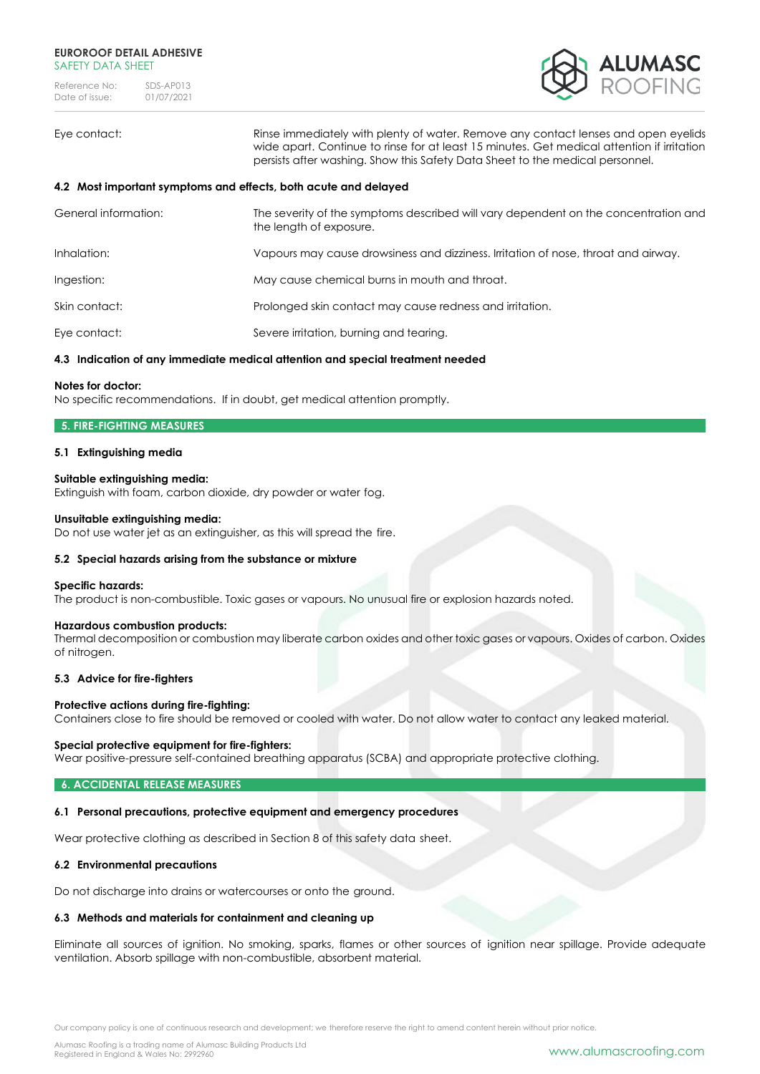

Eye contact: Rinse immediately with plenty of water. Remove any contact lenses and open eyelids wide apart. Continue to rinse for at least 15 minutes. Get medical attention if irritation persists after washing. Show this Safety Data Sheet to the medical personnel.

### **4.2 Most important symptoms and effects, both acute and delayed**

| General information: | The severity of the symptoms described will vary dependent on the concentration and<br>the length of exposure. |
|----------------------|----------------------------------------------------------------------------------------------------------------|
| Inhalation:          | Vapours may cause drowsiness and dizziness. Irritation of nose, throat and airway.                             |
| Ingestion:           | May cause chemical burns in mouth and throat.                                                                  |
| Skin contact:        | Prolonged skin contact may cause redness and irritation.                                                       |
| Eye contact:         | Severe irritation, burning and tearing.                                                                        |

# **4.3 Indication of any immediate medical attention and special treatment needed**

### **Notes for doctor:**

No specific recommendations. If in doubt, get medical attention promptly.

# **5. FIRE-FIGHTING MEASURES**

### **5.1 Extinguishing media**

### **Suitable extinguishing media:**

Extinguish with foam, carbon dioxide, dry powder or water fog.

### **Unsuitable extinguishing media:**

Do not use water jet as an extinguisher, as this will spread the fire.

### **5.2 Special hazards arising from the substance or mixture**

#### **Specific hazards:**

The product is non-combustible. Toxic gases or vapours. No unusual fire or explosion hazards noted.

#### **Hazardous combustion products:**

Thermal decomposition or combustion may liberate carbon oxides and other toxic gases or vapours. Oxides of carbon. Oxides of nitrogen.

### **5.3 Advice for fire-fighters**

### **Protective actions during fire-fighting:**

Containers close to fire should be removed or cooled with water. Do not allow water to contact any leaked material.

#### **Special protective equipment for fire-fighters:**

Wear positive-pressure self-contained breathing apparatus (SCBA) and appropriate protective clothing.

#### **6. ACCIDENTAL RELEASE MEASURES**

### **6.1 Personal precautions, protective equipment and emergency procedures**

Wear protective clothing as described in Section 8 of this safety data sheet.

### **6.2 Environmental precautions**

Do not discharge into drains or watercourses or onto the ground.

# **6.3 Methods and materials for containment and cleaning up**

Eliminate all sources of ignition. No smoking, sparks, flames or other sources of ignition near spillage. Provide adequate ventilation. Absorb spillage with non-combustible, absorbent material.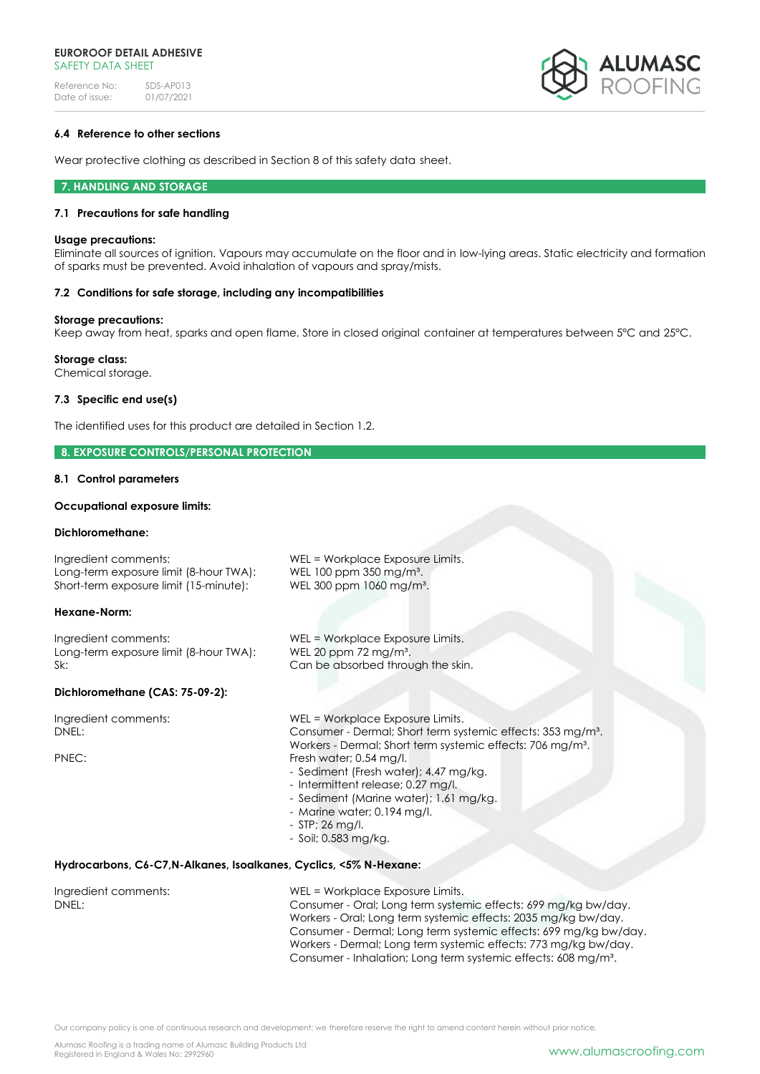

## **6.4 Reference to other sections**

Wear protective clothing as described in Section 8 of this safety data sheet.

#### **7. HANDLING AND STORAGE**

### **7.1 Precautions for safe handling**

#### **Usage precautions:**

Eliminate all sources of ignition. Vapours may accumulate on the floor and in low-lying areas. Static electricity and formation of sparks must be prevented. Avoid inhalation of vapours and spray/mists.

### **7.2 Conditions for safe storage, including any incompatibilities**

#### **Storage precautions:**

Keep away from heat, sparks and open flame. Store in closed original container at temperatures between 5°C and 25°C.

### **Storage class:**

Chemical storage.

### **7.3 Specific end use(s)**

The identified uses for this product are detailed in Section 1.2.

### **8. EXPOSURE CONTROLS/PERSONAL PROTECTION**

### **8.1 Control parameters**

### **Occupational exposure limits:**

# **Dichloromethane:**

| uluilui viileiliulle.                                                                                    |                                                                                                                                                                                                                                                                                                                                                                                                                     |
|----------------------------------------------------------------------------------------------------------|---------------------------------------------------------------------------------------------------------------------------------------------------------------------------------------------------------------------------------------------------------------------------------------------------------------------------------------------------------------------------------------------------------------------|
| Ingredient comments:<br>Long-term exposure limit (8-hour TWA):<br>Short-term exposure limit (15-minute): | WEL = Workplace Exposure Limits.<br>WEL 100 ppm 350 mg/m <sup>3</sup> .<br>WEL 300 ppm 1060 mg/m <sup>3</sup> .                                                                                                                                                                                                                                                                                                     |
| Hexane-Norm:                                                                                             |                                                                                                                                                                                                                                                                                                                                                                                                                     |
| Ingredient comments:<br>Long-term exposure limit (8-hour TWA):<br>Sk:                                    | WEL = Workplace Exposure Limits.<br>WEL 20 ppm 72 mg/m <sup>3</sup> .<br>Can be absorbed through the skin.                                                                                                                                                                                                                                                                                                          |
| Dichloromethane (CAS: 75-09-2):                                                                          |                                                                                                                                                                                                                                                                                                                                                                                                                     |
| Ingredient comments:<br>DNEL:<br>PNEC:                                                                   | WEL = Workplace Exposure Limits.<br>Consumer - Dermal; Short term systemic effects: 353 mg/m <sup>3</sup> .<br>Workers - Dermal; Short term systemic effects: 706 mg/m <sup>3</sup> .<br>Fresh water; 0.54 mg/l.<br>- Sediment (Fresh water); 4.47 mg/kg.<br>- Intermittent release; 0.27 mg/l.<br>- Sediment (Marine water); 1.61 mg/kg.<br>- Marine water; 0.194 mg/l.<br>- STP; 26 mg/l.<br>- Soil; 0.583 mg/kg. |
| Hydrocarbons, C6-C7, N-Alkanes, Isoalkanes, Cyclics, <5% N-Hexane:                                       |                                                                                                                                                                                                                                                                                                                                                                                                                     |
| Ingredient comments:<br>DNEL:                                                                            | WEL = Workplace Exposure Limits.<br>Consumer - Oral; Long term systemic effects: 699 mg/kg bw/day.<br>Workers - Oral; Long term systemic effects: 2035 mg/kg bw/day.<br>Consumer - Dermal; Long term systemic effects: 699 mg/kg bw/day.                                                                                                                                                                            |

Consumer - Inhalation; Long term systemic effects: 608 mg/m³.

Workers - Dermal; Long term systemic effects: 773 mg/kg bw/day.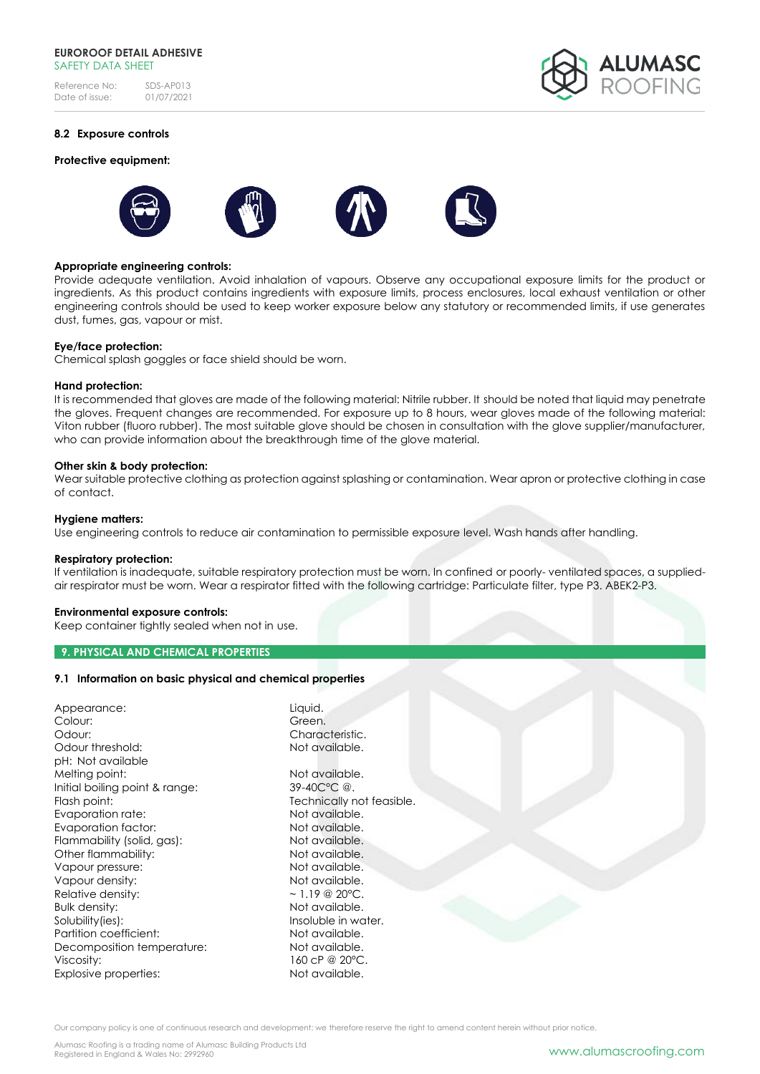### **EUROROOF DETAIL ADHESIVE**  SAFFTY DATA SHFFT

Reference No: SDS-AP013<br>Date of issue: 01/07/2021 Date of issue:



# **8.2 Exposure controls**

### **Protective equipment:**



### **Appropriate engineering controls:**

Provide adequate ventilation. Avoid inhalation of vapours. Observe any occupational exposure limits for the product or ingredients. As this product contains ingredients with exposure limits, process enclosures, local exhaust ventilation or other engineering controls should be used to keep worker exposure below any statutory or recommended limits, if use generates dust, fumes, gas, vapour or mist.

#### **Eye/face protection:**

Chemical splash goggles or face shield should be worn.

### **Hand protection:**

It is recommended that gloves are made of the following material: Nitrile rubber. It should be noted that liquid may penetrate the gloves. Frequent changes are recommended. For exposure up to 8 hours, wear gloves made of the following material: Viton rubber (fluoro rubber). The most suitable glove should be chosen in consultation with the glove supplier/manufacturer, who can provide information about the breakthrough time of the glove material.

### **Other skin & body protection:**

Wear suitable protective clothing as protection against splashing or contamination. Wear apron or protective clothing in case of contact.

#### **Hygiene matters:**

Use engineering controls to reduce air contamination to permissible exposure level. Wash hands after handling.

#### **Respiratory protection:**

If ventilation is inadequate, suitable respiratory protection must be worn. In confined or poorly- ventilated spaces, a suppliedair respirator must be worn. Wear a respirator fitted with the following cartridge: Particulate filter, type P3. ABEK2-P3.

### **Environmental exposure controls:**

Keep container tightly sealed when not in use.

### **9. PHYSICAL AND CHEMICAL PROPERTIES**

### **9.1 Information on basic physical and chemical properties**

| Appearance:                    | Liquid.                   |  |
|--------------------------------|---------------------------|--|
| Colour:                        | Green.                    |  |
| Odour:                         | Characteristic.           |  |
| Odour threshold:               | Not available.            |  |
| pH: Not available              |                           |  |
| Melting point:                 | Not available.            |  |
| Initial boiling point & range: | 39-40C°C @.               |  |
| Flash point:                   | Technically not feasible. |  |
| Evaporation rate:              | Not available.            |  |
| Evaporation factor:            | Not available.            |  |
| Flammability (solid, gas):     | Not available.            |  |
| Other flammability:            | Not available.            |  |
| Vapour pressure:               | Not available.            |  |
| Vapour density:                | Not available.            |  |
| Relative density:              | $\sim$ 1.19 @ 20°C.       |  |
| <b>Bulk density:</b>           | Not available.            |  |
| Solubility(ies):               | Insoluble in water.       |  |
| Partition coefficient:         | Not available.            |  |
| Decomposition temperature:     | Not available.            |  |
| Viscosity:                     | 160 cP @ 20°C.            |  |
| Explosive properties:          | Not available.            |  |
|                                |                           |  |

Our company policy is one of continuous research and development; we therefore reserve the right to amend content herein without prior notice.

Alumasc Roofing is a trading name of Alumasc Building Products Ltd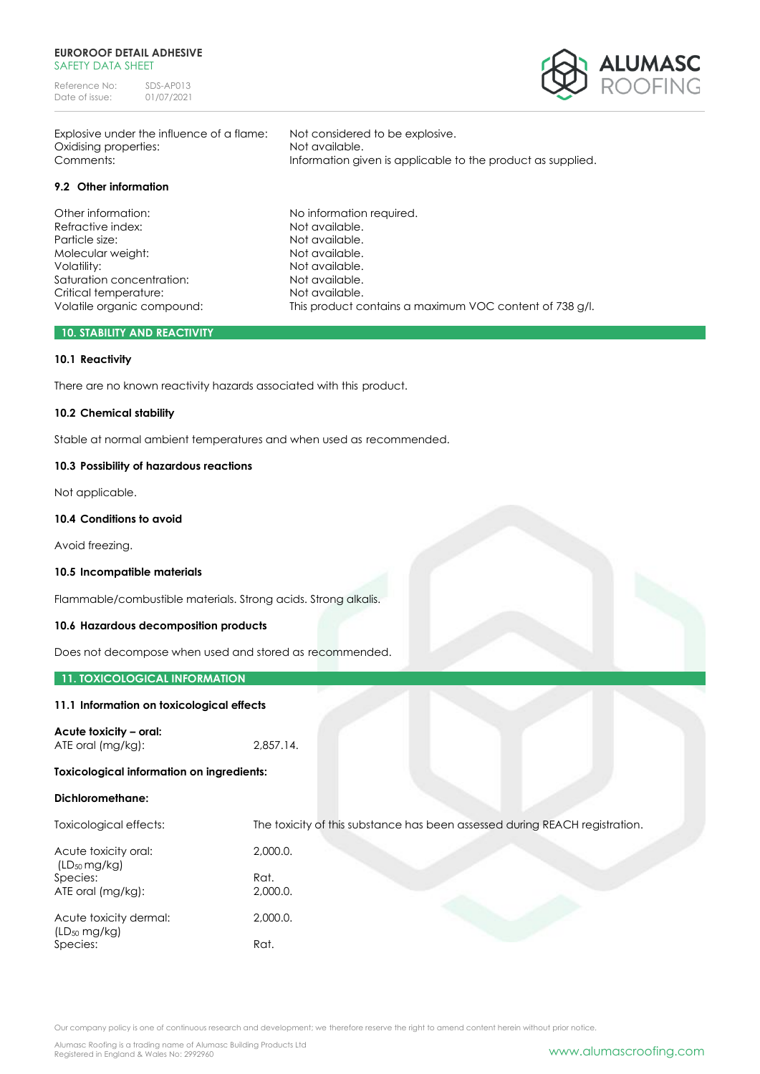### **EUROROOF DETAIL ADHESIVE**  SAFFTY DATA SHFFT

Reference No: SDS-AP013<br>Date of issue: 01/07/2021 Date of issue:



Explosive under the influence of a flame: Not considered to be explosive. Oxidising properties: Not available.

# **9.2 Other information**

Other information: No information required. Refractive index: Not available. Particle size: Not available. Molecular weight: Not available. Volatility: Not available. Saturation concentration: Not available. Critical temperature: Not available.

Comments: Information given is applicable to the product as supplied.

Volatile organic compound: This product contains a maximum VOC content of 738 g/l.

### **10. STABILITY AND REACTIVITY**

# **10.1 Reactivity**

There are no known reactivity hazards associated with this product.

## **10.2 Chemical stability**

Stable at normal ambient temperatures and when used as recommended.

### **10.3 Possibility of hazardous reactions**

Not applicable.

### **10.4 Conditions to avoid**

Avoid freezing.

#### **10.5 Incompatible materials**

Flammable/combustible materials. Strong acids. Strong alkalis.

### **10.6 Hazardous decomposition products**

Does not decompose when used and stored as recommended.

### **11. TOXICOLOGICAL INFORMATION**

### **11.1 Information on toxicological effects**

**Acute toxicity – oral:** ATE oral (mg/kg): 2,857.14.

#### **Toxicological information on ingredients:**

### **Dichloromethane:**

Toxicological effects: The toxicity of this substance has been assessed during REACH registration. Acute toxicity oral: 2,000.0. (LD50 mg/kg) Species: Rat. ATE oral (mg/kg): 2,000.0. Acute toxicity dermal: 2,000.0. (LD<sup>50</sup> mg/kg) Species: Rat.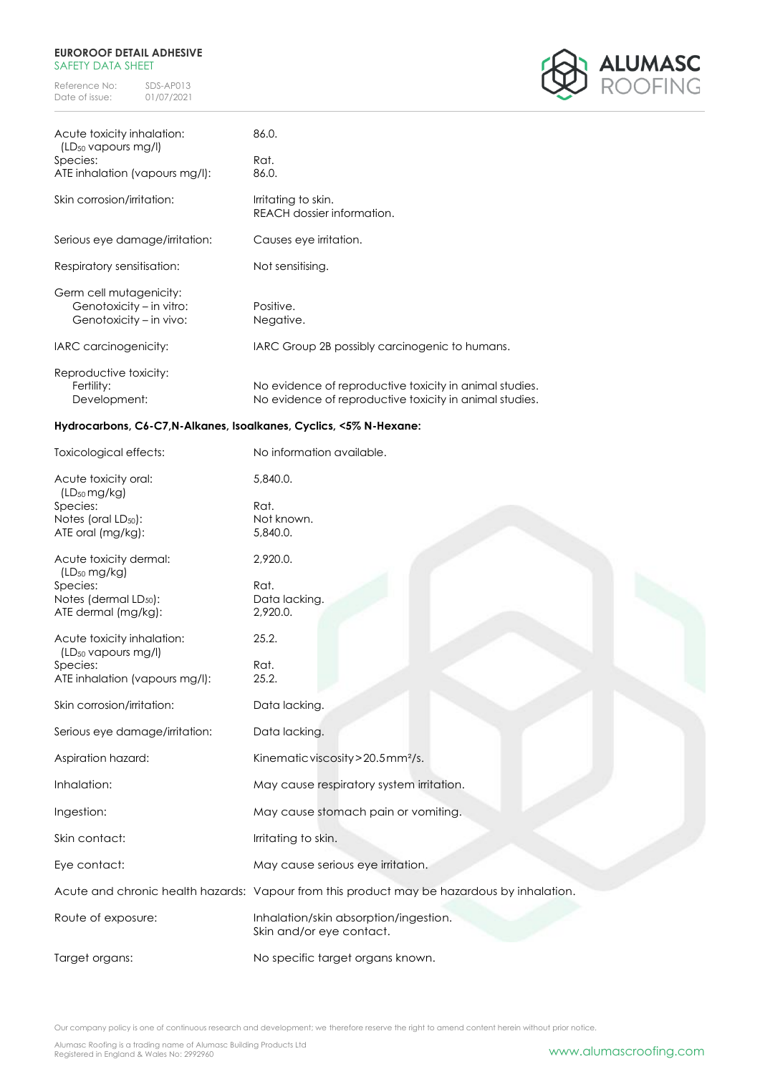### **EUROROOF DETAIL ADHESIVE**  SAFETY DATA SHEET

Reference No: SDS-AP013<br>Date of issue: 01/07/2021 Date of issue:



| Acute toxicity inhalation:<br>$(LD_{50}$ vapours mg/l)                         | 86.0.                                                                                                              |
|--------------------------------------------------------------------------------|--------------------------------------------------------------------------------------------------------------------|
| Species:                                                                       | Rat.                                                                                                               |
| ATE inhalation (vapours mg/l):                                                 | 86.0.                                                                                                              |
| Skin corrosion/irritation:                                                     | Irritating to skin.<br>REACH dossier information.                                                                  |
| Serious eye damage/irritation:                                                 | Causes eye irritation.                                                                                             |
| Respiratory sensitisation:                                                     | Not sensitising.                                                                                                   |
| Germ cell mutagenicity:<br>Genotoxicity – in vitro:<br>Genotoxicity – in vivo: | Positive.<br>Negative.                                                                                             |
| IARC carcinogenicity:                                                          | IARC Group 2B possibly carcinogenic to humans.                                                                     |
| Reproductive toxicity:<br>Fertility:<br>Development:                           | No evidence of reproductive toxicity in animal studies.<br>No evidence of reproductive toxicity in animal studies. |

# **Hydrocarbons, C6-C7,N-Alkanes, Isoalkanes, Cyclics, <5% N-Hexane:**

| Toxicological effects:                                        | No information available.                                                                  |
|---------------------------------------------------------------|--------------------------------------------------------------------------------------------|
| Acute toxicity oral:                                          | 5,840.0.                                                                                   |
| $(LD_{50} mg/kg)$<br>Species:                                 | Rat.                                                                                       |
| Notes (oral LD <sub>50</sub> ):                               | Not known.                                                                                 |
| ATE oral (mg/kg):                                             | 5,840.0.                                                                                   |
|                                                               |                                                                                            |
| Acute toxicity dermal:<br>$(LD_{50} mg/kg)$                   | 2,920.0.                                                                                   |
| Species:                                                      | Rat.                                                                                       |
| Notes (dermal LD <sub>50</sub> ):                             | Data lacking.                                                                              |
| ATE dermal (mg/kg):                                           | 2,920.0.                                                                                   |
|                                                               |                                                                                            |
| Acute toxicity inhalation:<br>(LD <sub>50</sub> vapours mg/l) | 25.2.                                                                                      |
| Species:                                                      | Rat.                                                                                       |
| ATE inhalation (vapours mg/l):                                | 25.2.                                                                                      |
|                                                               |                                                                                            |
| Skin corrosion/irritation:                                    | Data lacking.                                                                              |
|                                                               |                                                                                            |
| Serious eye damage/irritation:                                | Data lacking.                                                                              |
|                                                               |                                                                                            |
| Aspiration hazard:                                            | Kinematic viscosity > 20.5mm <sup>2</sup> /s.                                              |
|                                                               |                                                                                            |
| Inhalation:                                                   | May cause respiratory system irritation.                                                   |
|                                                               |                                                                                            |
| Ingestion:                                                    | May cause stomach pain or vomiting.                                                        |
|                                                               |                                                                                            |
| Skin contact:                                                 | Irritating to skin.                                                                        |
|                                                               |                                                                                            |
| Eye contact:                                                  | May cause serious eye irritation.                                                          |
|                                                               | Acute and chronic health hazards: Vapour from this product may be hazardous by inhalation. |
|                                                               |                                                                                            |
| Route of exposure:                                            | Inhalation/skin absorption/ingestion.                                                      |
|                                                               | Skin and/or eye contact.                                                                   |
|                                                               |                                                                                            |
| Target organs:                                                | No specific target organs known.                                                           |
|                                                               |                                                                                            |

Our company policy is one of continuous research and development; we therefore reserve the right to amend content herein without prior notice.

Alumasc Roofing is a trading name of Alumasc Building Products Ltd<br>Registered in England & Wales No: 2992960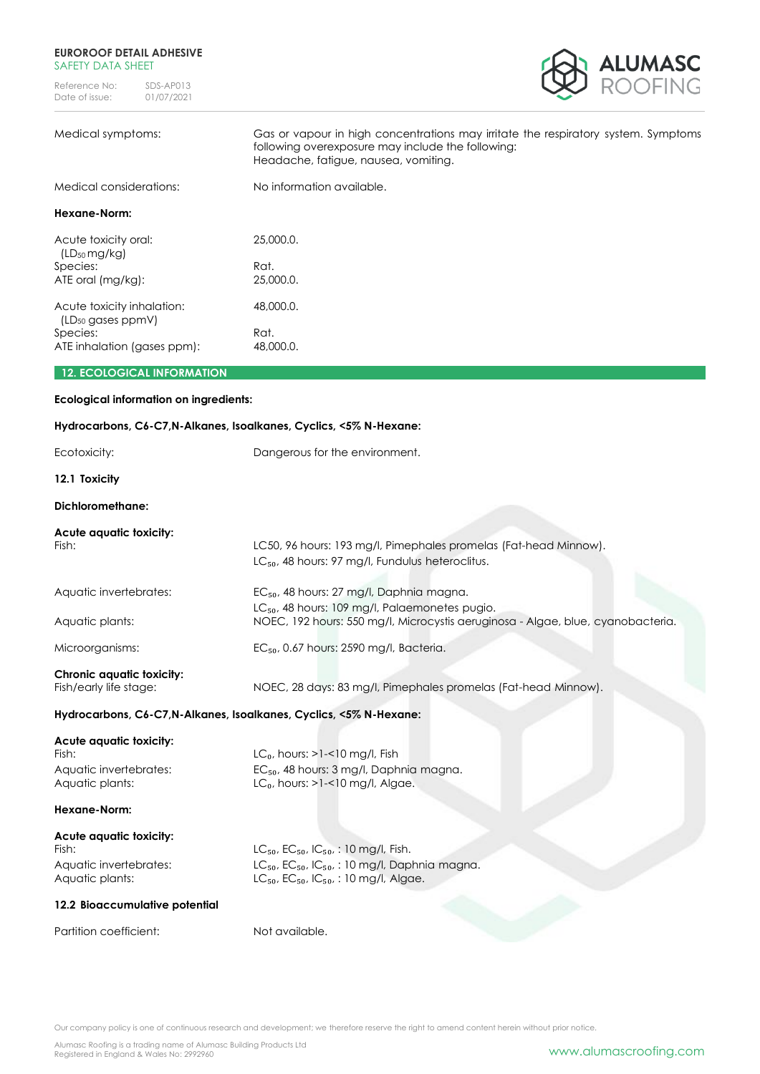### **EUROROOF DETAIL ADHESIVE**  SAFETY DATA SHEET

Reference No: SDS-AP013<br>Date of issue: 01/07/2021 Date of issue:



| Medical symptoms:                                | Gas or vapour in high concentrations may irritate the respiratory system. Symptoms<br>following overexposure may include the following:<br>Headache, fatigue, nausea, vomiting. |
|--------------------------------------------------|---------------------------------------------------------------------------------------------------------------------------------------------------------------------------------|
| Medical considerations:                          | No information available.                                                                                                                                                       |
| Hexane-Norm:                                     |                                                                                                                                                                                 |
| Acute toxicity oral:<br>(LD <sub>50</sub> mg/kg) | 25,000.0.                                                                                                                                                                       |
| Species:<br>ATE oral (mg/kg):                    | Rat.<br>25,000.0.                                                                                                                                                               |
| Acute toxicity inhalation:                       | 48,000.0.                                                                                                                                                                       |
| (LD <sub>50</sub> gases ppmV)<br>Species:        | Rat.                                                                                                                                                                            |
| ATE inhalation (gases ppm):                      | 48,000.0.                                                                                                                                                                       |
| <b>12. ECOLOGICAL INFORMATION</b>                |                                                                                                                                                                                 |
| <b>Ecological information on ingredients:</b>    |                                                                                                                                                                                 |
|                                                  | Hydrocarbons, C6-C7, N-Alkanes, Isoalkanes, Cyclics, <5% N-Hexane:                                                                                                              |
| Ecotoxicity:                                     | Dangerous for the environment.                                                                                                                                                  |
| 12.1 Toxicity                                    |                                                                                                                                                                                 |
| <b>Dichloromethane:</b>                          |                                                                                                                                                                                 |
| Acute aquatic toxicity:                          |                                                                                                                                                                                 |
| Fish:                                            | LC50, 96 hours: 193 mg/l, Pimephales promelas (Fat-head Minnow).                                                                                                                |
|                                                  | LC <sub>50</sub> , 48 hours: 97 mg/l, Fundulus heteroclitus.                                                                                                                    |
| Aquatic invertebrates:                           | $EC_{50}$ , 48 hours: 27 mg/l, Daphnia magna.                                                                                                                                   |
|                                                  | LC <sub>50</sub> , 48 hours: 109 mg/l, Palaemonetes pugio.                                                                                                                      |
| Aquatic plants:                                  | NOEC, 192 hours: 550 mg/l, Microcystis aeruginosa - Algae, blue, cyanobacteria.                                                                                                 |
| Microorganisms:                                  | $EC_{50}$ , 0.67 hours: 2590 mg/l, Bacteria.                                                                                                                                    |

**Chronic aquatic toxicity:** Fish/early life stage: NOEC, 28 days: 83 mg/l, Pimephales promelas (Fat-head Minnow).

# **Hydrocarbons, C6-C7,N-Alkanes, Isoalkanes, Cyclics, <5% N-Hexane:**

| Acute aquatic toxicity:        |                                                               |  |
|--------------------------------|---------------------------------------------------------------|--|
| Fish:                          | $LC0$ , hours: >1-<10 mg/l, Fish                              |  |
| Aquatic invertebrates:         | $EC_{50}$ , 48 hours: 3 mg/l, Daphnia magna.                  |  |
| Aquatic plants:                | $LC0$ , hours: >1-<10 mg/l, Algae.                            |  |
| Hexane-Norm:                   |                                                               |  |
| Acute aquatic toxicity:        |                                                               |  |
| Fish:                          | $LC_{50}$ , $EC_{50}$ , $IC_{50}$ , : 10 mg/l, Fish.          |  |
| Aquatic invertebrates:         | $LC_{50}$ , $EC_{50}$ , $IC_{50}$ , : 10 mg/l, Daphnia magna. |  |
| Aquatic plants:                | $LC_{50}$ , $EC_{50}$ , $IC_{50}$ , : 10 mg/l, Algae.         |  |
| 12.2 Bioaccumulative potential |                                                               |  |
|                                |                                                               |  |

Partition coefficient: Not available.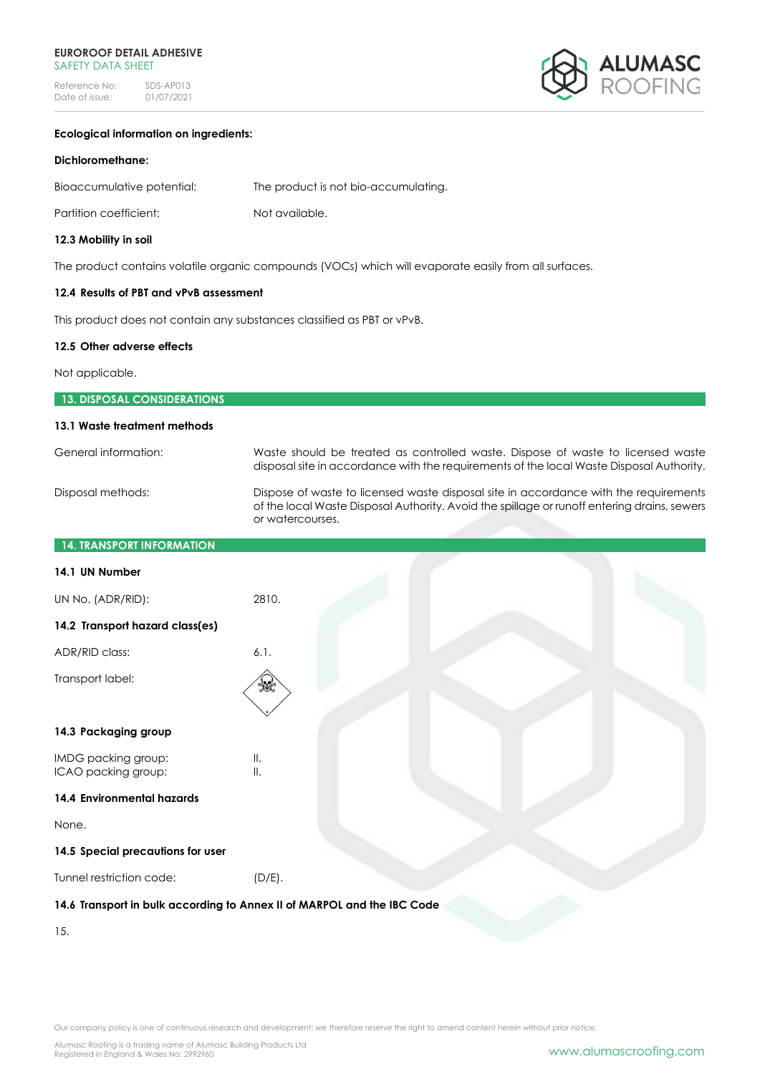### **EUROROOF DETAIL ADHESIVE**  SAFETY DATA SHEET

Reference No: SDS-AP013<br>Date of issue: 01/07/2021  $01/07/2021$ 



# **Ecological information on ingredients:**

### **Dichloromethane:**

| Bioaccumulative potential: | The product is not bio-accumulating. |
|----------------------------|--------------------------------------|
| Partition coefficient:     | Not available.                       |

# **12.3 Mobility in soil**

The product contains volatile organic compounds (VOCs) which will evaporate easily from all surfaces.

# **12.4 Results of PBT and vPvB assessment**

This product does not contain any substances classified as PBT or vPvB.

### **12.5 Other adverse effects**

Not applicable.

| <b>13. DISPOSAL CONSIDERATIONS</b> |                                                                                                                                                                                                         |  |  |
|------------------------------------|---------------------------------------------------------------------------------------------------------------------------------------------------------------------------------------------------------|--|--|
| 13.1 Waste treatment methods       |                                                                                                                                                                                                         |  |  |
| General information:               | Waste should be treated as controlled waste. Dispose of waste to licensed waste<br>disposal site in accordance with the requirements of the local Waste Disposal Authority.                             |  |  |
| Disposal methods:                  | Dispose of waste to licensed waste disposal site in accordance with the requirements<br>of the local Waste Disposal Authority. Avoid the spillage or runoff entering drains, sewers<br>or watercourses. |  |  |
| <b>14. TRANSPORT INFORMATION</b>   |                                                                                                                                                                                                         |  |  |
| 14.1 UN Number                     |                                                                                                                                                                                                         |  |  |
| UN No. (ADR/RID):                  | 2810.                                                                                                                                                                                                   |  |  |
| 14.2 Transport hazard class(es)    |                                                                                                                                                                                                         |  |  |

| 14.2 Transport hazard class(es)                                         |                      |  |  |  |
|-------------------------------------------------------------------------|----------------------|--|--|--|
| ADR/RID class:                                                          | 6.1.                 |  |  |  |
| Transport label:                                                        | 矮                    |  |  |  |
| 14.3 Packaging group                                                    |                      |  |  |  |
| IMDG packing group:<br>ICAO packing group:                              | Ⅱ.<br>$\mathbb{I}$ . |  |  |  |
| 14.4 Environmental hazards                                              |                      |  |  |  |
| None.                                                                   |                      |  |  |  |
| 14.5 Special precautions for user                                       |                      |  |  |  |
| Tunnel restriction code:                                                | $(D/E)$ .            |  |  |  |
| 14.6 Transport in bulk according to Annex II of MARPOL and the IBC Code |                      |  |  |  |
|                                                                         |                      |  |  |  |

15.